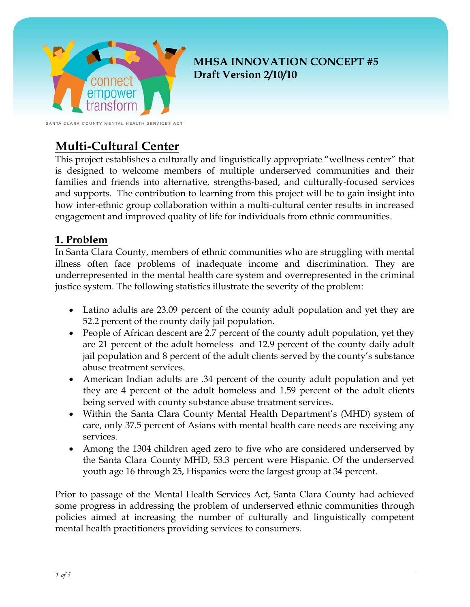

## **MHSA INNOVATION CONCEPT #5 Draft Version 2/10/10**

SANTA CLARA COUNTY MENTAL HEALTH SERVICES ACT

# **Multi-Cultural Center**

This project establishes a culturally and linguistically appropriate "wellness center" that is designed to welcome members of multiple underserved communities and their families and friends into alternative, strengths-based, and culturally-focused services and supports. The contribution to learning from this project will be to gain insight into how inter-ethnic group collaboration within a multi-cultural center results in increased engagement and improved quality of life for individuals from ethnic communities.

### **1. Problem**

In Santa Clara County, members of ethnic communities who are struggling with mental illness often face problems of inadequate income and discrimination. They are underrepresented in the mental health care system and overrepresented in the criminal justice system. The following statistics illustrate the severity of the problem:

- Latino adults are 23.09 percent of the county adult population and yet they are 52.2 percent of the county daily jail population.
- People of African descent are 2.7 percent of the county adult population, yet they are 21 percent of the adult homeless and 12.9 percent of the county daily adult jail population and 8 percent of the adult clients served by the county's substance abuse treatment services.
- American Indian adults are .34 percent of the county adult population and yet they are 4 percent of the adult homeless and 1.59 percent of the adult clients being served with county substance abuse treatment services.
- Within the Santa Clara County Mental Health Department's (MHD) system of care, only 37.5 percent of Asians with mental health care needs are receiving any services.
- Among the 1304 children aged zero to five who are considered underserved by the Santa Clara County MHD, 53.3 percent were Hispanic. Of the underserved youth age 16 through 25, Hispanics were the largest group at 34 percent.

Prior to passage of the Mental Health Services Act, Santa Clara County had achieved some progress in addressing the problem of underserved ethnic communities through policies aimed at increasing the number of culturally and linguistically competent mental health practitioners providing services to consumers.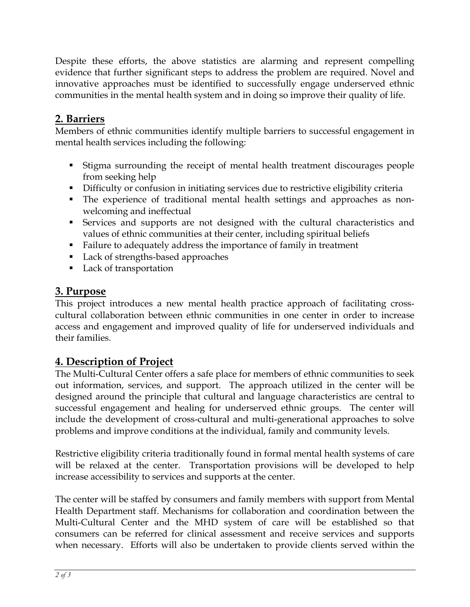Despite these efforts, the above statistics are alarming and represent compelling evidence that further significant steps to address the problem are required. Novel and innovative approaches must be identified to successfully engage underserved ethnic communities in the mental health system and in doing so improve their quality of life.

### **2. Barriers**

Members of ethnic communities identify multiple barriers to successful engagement in mental health services including the following:

- Stigma surrounding the receipt of mental health treatment discourages people from seeking help
- Difficulty or confusion in initiating services due to restrictive eligibility criteria
- The experience of traditional mental health settings and approaches as nonwelcoming and ineffectual
- Services and supports are not designed with the cultural characteristics and values of ethnic communities at their center, including spiritual beliefs
- Failure to adequately address the importance of family in treatment
- Lack of strengths-based approaches
- Lack of transportation

### **3. Purpose**

This project introduces a new mental health practice approach of facilitating crosscultural collaboration between ethnic communities in one center in order to increase access and engagement and improved quality of life for underserved individuals and their families.

## **4. Description of Project**

The Multi-Cultural Center offers a safe place for members of ethnic communities to seek out information, services, and support. The approach utilized in the center will be designed around the principle that cultural and language characteristics are central to successful engagement and healing for underserved ethnic groups. The center will include the development of cross-cultural and multi-generational approaches to solve problems and improve conditions at the individual, family and community levels.

Restrictive eligibility criteria traditionally found in formal mental health systems of care will be relaxed at the center. Transportation provisions will be developed to help increase accessibility to services and supports at the center.

The center will be staffed by consumers and family members with support from Mental Health Department staff. Mechanisms for collaboration and coordination between the Multi-Cultural Center and the MHD system of care will be established so that consumers can be referred for clinical assessment and receive services and supports when necessary. Efforts will also be undertaken to provide clients served within the